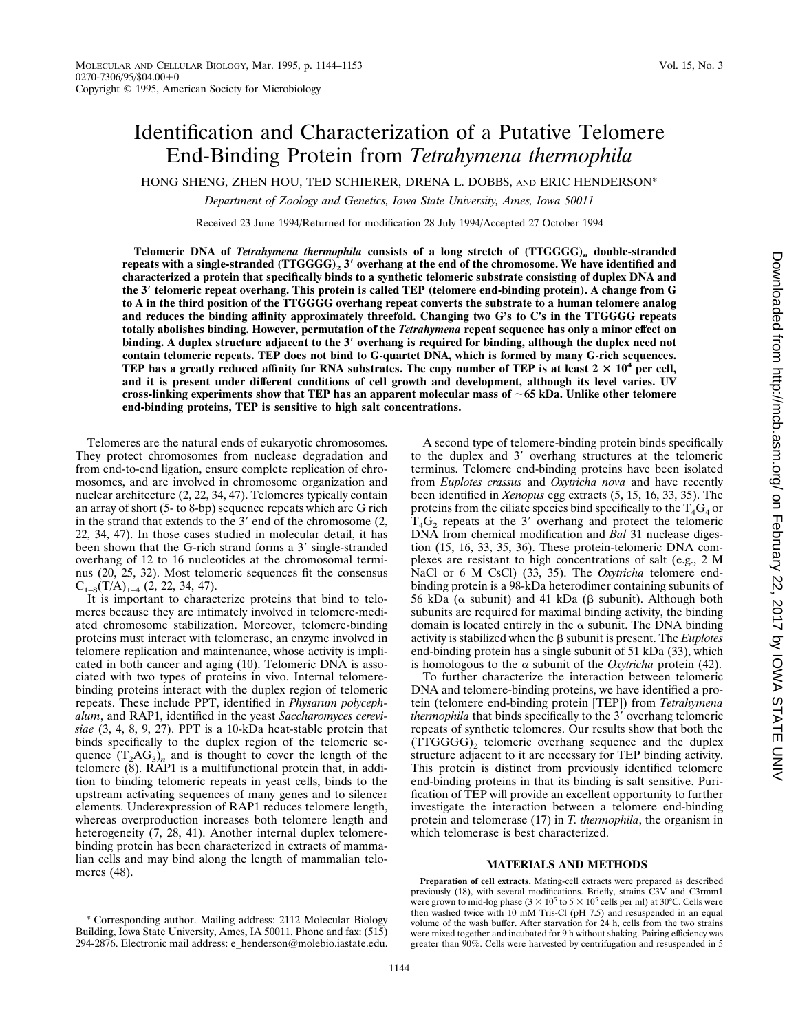# Identification and Characterization of a Putative Telomere End-Binding Protein from *Tetrahymena thermophila*

HONG SHENG, ZHEN HOU, TED SCHIERER, DRENA L. DOBBS, AND ERIC HENDERSON\*

*Department of Zoology and Genetics, Iowa State University, Ames, Iowa 50011*

Received 23 June 1994/Returned for modification 28 July 1994/Accepted 27 October 1994

**Telomeric DNA of** *Tetrahymena thermophila* **consists of a long stretch of (TTGGGG)***<sup>n</sup>* **double-stranded repeats with a single-stranded (TTGGGG)2 3**\* **overhang at the end of the chromosome. We have identified and characterized a protein that specifically binds to a synthetic telomeric substrate consisting of duplex DNA and the 3**\* **telomeric repeat overhang. This protein is called TEP (telomere end-binding protein). A change from G to A in the third position of the TTGGGG overhang repeat converts the substrate to a human telomere analog and reduces the binding affinity approximately threefold. Changing two G's to C's in the TTGGGG repeats totally abolishes binding. However, permutation of the** *Tetrahymena* **repeat sequence has only a minor effect on binding. A duplex structure adjacent to the 3**\* **overhang is required for binding, although the duplex need not contain telomeric repeats. TEP does not bind to G-quartet DNA, which is formed by many G-rich sequences. TEP** has a greatly reduced affinity for RNA substrates. The copy number of TEP is at least  $2 \times 10^4$  per cell, **and it is present under different conditions of cell growth and development, although its level varies. UV cross-linking experiments show that TEP has an apparent molecular mass of** ;**65 kDa. Unlike other telomere end-binding proteins, TEP is sensitive to high salt concentrations.**

Telomeres are the natural ends of eukaryotic chromosomes. They protect chromosomes from nuclease degradation and from end-to-end ligation, ensure complete replication of chromosomes, and are involved in chromosome organization and nuclear architecture (2, 22, 34, 47). Telomeres typically contain an array of short (5- to 8-bp) sequence repeats which are G rich in the strand that extends to the  $3'$  end of the chromosome  $(2, 1)$ 22, 34, 47). In those cases studied in molecular detail, it has been shown that the G-rich strand forms a 3' single-stranded overhang of 12 to 16 nucleotides at the chromosomal terminus (20, 25, 32). Most telomeric sequences fit the consensus  $C_{1-8}(T/A)_{1-4}$  (2, 22, 34, 47).

It is important to characterize proteins that bind to telomeres because they are intimately involved in telomere-mediated chromosome stabilization. Moreover, telomere-binding proteins must interact with telomerase, an enzyme involved in telomere replication and maintenance, whose activity is implicated in both cancer and aging (10). Telomeric DNA is associated with two types of proteins in vivo. Internal telomerebinding proteins interact with the duplex region of telomeric repeats. These include PPT, identified in *Physarum polycephalum*, and RAP1, identified in the yeast *Saccharomyces cerevisiae* (3, 4, 8, 9, 27). PPT is a 10-kDa heat-stable protein that binds specifically to the duplex region of the telomeric sequence  $(T_2AG_3)$ <sub>n</sub> and is thought to cover the length of the telomere (8). RAP1 is a multifunctional protein that, in addition to binding telomeric repeats in yeast cells, binds to the upstream activating sequences of many genes and to silencer elements. Underexpression of RAP1 reduces telomere length, whereas overproduction increases both telomere length and heterogeneity (7, 28, 41). Another internal duplex telomerebinding protein has been characterized in extracts of mammalian cells and may bind along the length of mammalian telomeres (48).

A second type of telomere-binding protein binds specifically to the duplex and  $3'$  overhang structures at the telomeric terminus. Telomere end-binding proteins have been isolated from *Euplotes crassus* and *Oxytricha nova* and have recently been identified in *Xenopus* egg extracts (5, 15, 16, 33, 35). The proteins from the ciliate species bind specifically to the  $T_4G_4$  or  $T_4G_2$  repeats at the 3' overhang and protect the telomeric DNA from chemical modification and *Bal* 31 nuclease digestion (15, 16, 33, 35, 36). These protein-telomeric DNA complexes are resistant to high concentrations of salt (e.g., 2 M NaCl or 6 M CsCl) (33, 35). The *Oxytricha* telomere endbinding protein is a 98-kDa heterodimer containing subunits of 56 kDa ( $\alpha$  subunit) and 41 kDa ( $\beta$  subunit). Although both subunits are required for maximal binding activity, the binding domain is located entirely in the  $\alpha$  subunit. The DNA binding activity is stabilized when the  $\beta$  subunit is present. The *Euplotes* end-binding protein has a single subunit of 51 kDa (33), which is homologous to the  $\alpha$  subunit of the *Oxytricha* protein (42).

To further characterize the interaction between telomeric DNA and telomere-binding proteins, we have identified a protein (telomere end-binding protein [TEP]) from *Tetrahymena thermophila* that binds specifically to the 3' overhang telomeric repeats of synthetic telomeres. Our results show that both the  $(TTGGG)$ <sub>2</sub> telomeric overhang sequence and the duplex structure adjacent to it are necessary for TEP binding activity. This protein is distinct from previously identified telomere end-binding proteins in that its binding is salt sensitive. Purification of TEP will provide an excellent opportunity to further investigate the interaction between a telomere end-binding protein and telomerase (17) in *T. thermophila*, the organism in which telomerase is best characterized.

### **MATERIALS AND METHODS**

**Preparation of cell extracts.** Mating-cell extracts were prepared as described previously (18), with several modifications. Briefly, strains C3V and C3rmm1 were grown to mid-log phase ( $3 \times 10^5$  to  $5 \times 10^5$  cells per ml) at 30°C. Cells were then washed twice with 10 mM Tris-Cl (pH 7.5) and resuspended in an equal volume of the wash buffer. After starvation for 24 h, cells from the two strains were mixed together and incubated for 9 h without shaking. Pairing efficiency was greater than 90%. Cells were harvested by centrifugation and resuspended in 5

<sup>\*</sup> Corresponding author. Mailing address: 2112 Molecular Biology Building, Iowa State University, Ames, IA 50011. Phone and fax: (515) 294-2876. Electronic mail address: e\_henderson@molebio.iastate.edu.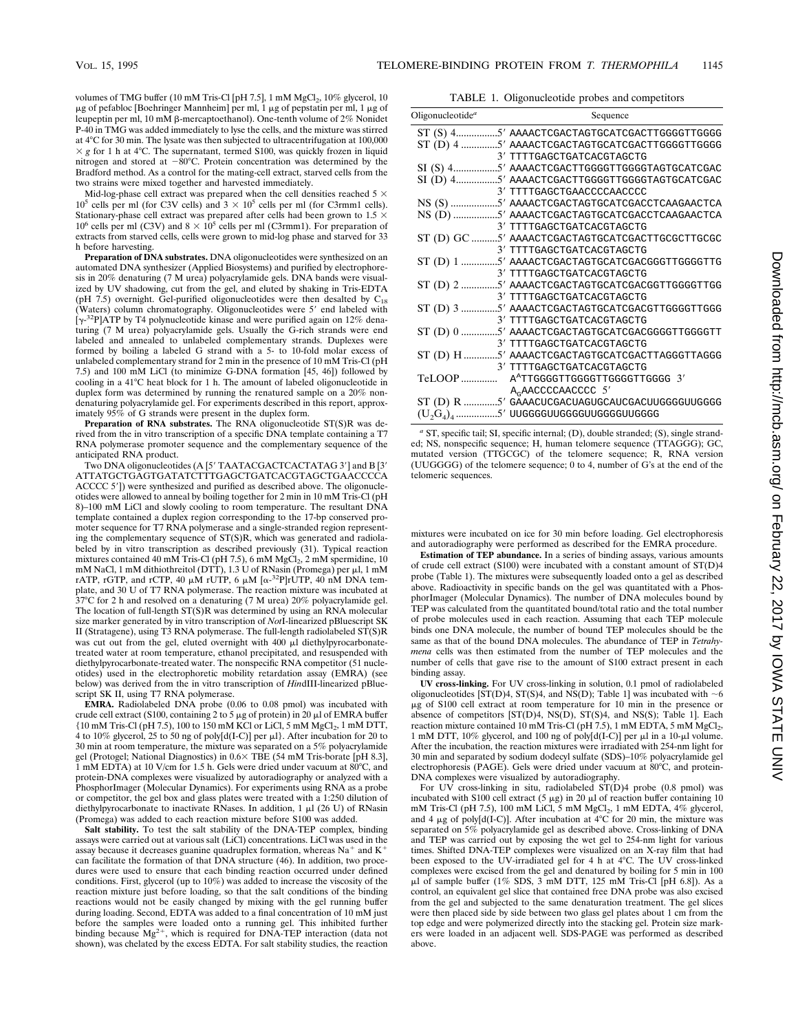volumes of TMG buffer (10 mM Tris-Cl [pH 7.5],  $1 \text{ mM } MgCl<sub>2</sub>$ ,  $10\%$  glycerol,  $10$  $\mu$ g of pefabloc [Boehringer Mannheim] per ml, 1  $\mu$ g of pepstatin per ml, 1  $\mu$ g of leupeptin per ml, 10 mM β-mercaptoethanol). One-tenth volume of 2% Nonidet P-40 in TMG was added immediately to lyse the cells, and the mixture was stirred at 4°C for 30 min. The lysate was then subjected to ultracentrifugation at 100,000  $\times g$  for 1 h at 4°C. The supernatant, termed S100, was quickly frozen in liquid nitrogen and stored at  $-80^{\circ}$ C. Protein concentration was determined by the Bradford method. As a control for the mating-cell extract, starved cells from the two strains were mixed together and harvested immediately.

Mid-log-phase cell extract was prepared when the cell densities reached 5  $\times$  $10^5$  cells per ml (for C3V cells) and  $3 \times 10^5$  cells per ml (for C3rmm1 cells). Stationary-phase cell extract was prepared after cells had been grown to 1.5  $\times$ 10<sup>6</sup> cells per ml (C3V) and  $8 \times 10^5$  cells per ml (C3rmm1). For preparation of extracts from starved cells, cells were grown to mid-log phase and starved for 33 h before harvesting.

**Preparation of DNA substrates.** DNA oligonucleotides were synthesized on an automated DNA synthesizer (Applied Biosystems) and purified by electrophoresis in 20% denaturing (7 M urea) polyacrylamide gels. DNA bands were visualized by UV shadowing, cut from the gel, and eluted by shaking in Tris-EDTA (pH 7.5) overnight. Gel-purified oligonucleotides were then desalted by  $C_{18}$ (Waters) column chromatography. Oligonucleotides were 5' end labeled with [y-<sup>32</sup>P]ATP by T4 polynucleotide kinase and were purified again on 12% denaturing (7 M urea) polyacrylamide gels. Usually the G-rich strands were end labeled and annealed to unlabeled complementary strands. Duplexes were formed by boiling a labeled G strand with a 5- to 10-fold molar excess of unlabeled complementary strand for 2 min in the presence of 10 mM Tris-Cl (pH 7.5) and 100 mM LiCl (to minimize G-DNA formation [45, 46]) followed by cooling in a 41°C heat block for 1 h. The amount of labeled oligonucleotide in duplex form was determined by running the renatured sample on a 20% nondenaturing polyacrylamide gel. For experiments described in this report, approximately 95% of G strands were present in the duplex form.

**Preparation of RNA substrates.** The RNA oligonucleotide ST(S)R was derived from the in vitro transcription of a specific DNA template containing a T7 RNA polymerase promoter sequence and the complementary sequence of the anticipated RNA product.

Two DNA oligonucleotides (A [5' TAATACGACTCACTATAG 3'] and B [3' ATTATGCTGAGTGATATCTTTGAGCTGATCACGTAGCTGAACCCCA ACCCC 5'l) were synthesized and purified as described above. The oligonucleotides were allowed to anneal by boiling together for 2 min in 10 mM Tris-Cl (pH 8)–100 mM LiCl and slowly cooling to room temperature. The resultant DNA template contained a duplex region corresponding to the 17-bp conserved promoter sequence for T7 RNA polymerase and a single-stranded region representing the complementary sequence of ST(S)R, which was generated and radiolabeled by in vitro transcription as described previously (31). Typical reaction mixtures contained 40 mM Tris-Cl (pH 7.5), 6 mM MgCl<sub>2</sub>, 2 mM spermidine, 10 mM NaCl, 1 mM dithiothreitol (DTT), 1.3 U of RNasin (Promega) per  $\mu$ l, 1 mM rATP, rGTP, and rCTP, 40  $\mu$ M rUTP, 6  $\mu$ M [ $\alpha$ -<sup>32</sup>P]rUTP, 40 nM DNA template, and 30 U of T7 RNA polymerase. The reaction mixture was incubated at 37°C for 2 h and resolved on a denaturing (7 M urea) 20% polyacrylamide gel. The location of full-length ST(S)R was determined by using an RNA molecular size marker generated by in vitro transcription of *Not*I-linearized pBluescript SK II (Stratagene), using T3 RNA polymerase. The full-length radiolabeled ST(S)R was cut out from the gel, eluted overnight with 400  $\mu$ l diethylpyrocarbonatetreated water at room temperature, ethanol precipitated, and resuspended with diethylpyrocarbonate-treated water. The nonspecific RNA competitor (51 nucleotides) used in the electrophoretic mobility retardation assay (EMRA) (see below) was derived from the in vitro transcription of *Hin*dIII-linearized pBluescript SK II, using T7 RNA polymerase.

**EMRA.** Radiolabeled DNA probe (0.06 to 0.08 pmol) was incubated with crude cell extract (S100, containing 2 to  $5 \mu$ g of protein) in 20  $\mu$ l of EMRA buffer  ${10 \text{ mM Tris-Cl (pH 7.5), 100 to 150 mM KCl or LiCl, 5 mM MgCl}_2, 1 mM DTT,}$ 4 to 10% glycerol, 25 to 50 ng of poly $[d(I-C)]$  per  $\mu$ l}. After incubation for 20 to 30 min at room temperature, the mixture was separated on a 5% polyacrylamide gel (Protogel; National Diagnostics) in  $0.6 \times$  TBE (54 mM Tris-borate [pH 8.3],  $1 \text{ mM } EDTA$ ) at 10 V/cm for 1.5 h. Gels were dried under vacuum at  $80^{\circ}$ C, and protein-DNA complexes were visualized by autoradiography or analyzed with a PhosphorImager (Molecular Dynamics). For experiments using RNA as a probe or competitor, the gel box and glass plates were treated with a 1:250 dilution of diethylpyrocarbonate to inactivate RNases. In addition,  $1 \mu$ l (26 U) of RNasin (Promega) was added to each reaction mixture before S100 was added.

**Salt stability.** To test the salt stability of the DNA-TEP complex, binding assays were carried out at various salt (LiCl) concentrations. LiCl was used in the assay because it decreases guanine quadruplex formation, whereas  $Na^+$  and  $K^+$ can facilitate the formation of that  $\overrightarrow{D}NA$  structure (46). In addition, two procedures were used to ensure that each binding reaction occurred under defined conditions. First, glycerol (up to 10%) was added to increase the viscosity of the reaction mixture just before loading, so that the salt conditions of the binding reactions would not be easily changed by mixing with the gel running buffer during loading. Second, EDTA was added to a final concentration of 10 mM just before the samples were loaded onto a running gel. This inhibited further binding because  $Mg^{2+}$ , which is required for DNA-TEP interaction (data not shown), was chelated by the excess EDTA. For salt stability studies, the reaction

TABLE 1. Oligonucleotide probes and competitors

| Oligonucleotide <sup>a</sup> | Sequence                                        |
|------------------------------|-------------------------------------------------|
|                              |                                                 |
|                              |                                                 |
|                              | 3' TTTTGAGCTGATCACGTAGCTG                       |
|                              |                                                 |
|                              |                                                 |
|                              | 3' TTTTGAGCTGAACCCCAACCCC                       |
|                              |                                                 |
|                              |                                                 |
|                              | 3' TTTTGAGCTGATCACGTAGCTG                       |
|                              | ST (D) GC 5' AAAACTCGACTAGTGCATCGACTTGCGCTTGCGC |
|                              | 3' TTTTGAGCTGATCACGTAGCTG                       |
|                              | ST (D) 1 5' AAAACTCGACTAGTGCATCGACGGGTTGGGGTTG  |
|                              | 3' TTTTGAGCTGATCACGTAGCTG                       |
|                              | ST (D) 2 5' AAAACTCGACTAGTGCATCGACGGTTGGGGTTGG  |
|                              | 3' TTTTGAGCTGATCACGTAGCTG                       |
|                              |                                                 |
|                              | 3' TTTTGAGCTGATCACGTAGCTG                       |
|                              | ST (D) 0 5' AAAACTCGACTAGTGCATCGACGGGGTTGGGGTT  |
|                              | 3' TTTTGAGCTGATCACGTAGCTG                       |
|                              | ST (D) H 5' AAAACTCGACTAGTGCATCGACTTAGGGTTAGGG  |
|                              | 3' TTTTGAGCTGATCACGTAGCTG                       |
| TeLOOP                       | A <sup>A</sup> TTGGGGTTGGGGTTGGGGTTGGGG 3'      |
|                              | A <sub>G</sub> AACCCCAACCCC 5'                  |
|                              | ST (D) R 5' GAAACUCGACUAGUGCAUCGACUUGGGGUUGGGG  |
|                              | $(U_2G_4)_4$ 5' UUGGGGUUGGGGUUGGGGUUGGGG        |

*<sup>a</sup>* ST, specific tail; SI, specific internal; (D), double stranded; (S), single stranded; NS, nonspecific sequence; H, human telomere sequence (TTAGGG); GC, mutated version (TTGCGC) of the telomere sequence; R, RNA version (UUGGGG) of the telomere sequence; 0 to 4, number of G's at the end of the telomeric sequences.

mixtures were incubated on ice for 30 min before loading. Gel electrophoresis and autoradiography were performed as described for the EMRA procedure.

**Estimation of TEP abundance.** In a series of binding assays, various amounts of crude cell extract (S100) were incubated with a constant amount of ST(D)4 probe (Table 1). The mixtures were subsequently loaded onto a gel as described above. Radioactivity in specific bands on the gel was quantitated with a PhosphorImager (Molecular Dynamics). The number of DNA molecules bound by TEP was calculated from the quantitated bound/total ratio and the total number of probe molecules used in each reaction. Assuming that each TEP molecule binds one DNA molecule, the number of bound TEP molecules should be the same as that of the bound DNA molecules. The abundance of TEP in *Tetrahymena* cells was then estimated from the number of TEP molecules and the number of cells that gave rise to the amount of S100 extract present in each binding assay.

**UV cross-linking.** For UV cross-linking in solution, 0.1 pmol of radiolabeled oligonucleotides [ST(D)4, ST(S)4, and NS(D); Table 1] was incubated with  $\sim$  6 μg of S100 cell extract at room temperature for 10 min in the presence or absence of competitors  $(ST(D)4, NS(D), ST(S)4,$  and  $NS(S)$ ; Table 1]. Each reaction mixture contained 10 mM Tris-Cl (pH 7.5), 1 mM EDTA, 5 mM MgCl<sub>2</sub>, 1 mM DTT, 10% glycerol, and 100 ng of poly $[d(I-C)]$  per  $\mu$ l in a 10- $\mu$ l volume. After the incubation, the reaction mixtures were irradiated with 254-nm light for 30 min and separated by sodium dodecyl sulfate (SDS)–10% polyacrylamide gel electrophoresis (PAGE). Gels were dried under vacuum at  $80^{\circ}$ C, and protein-DNA complexes were visualized by autoradiography.

For UV cross-linking in situ, radiolabeled  $ST(D)$ 4 probe (0.8 pmol) was incubated with S100 cell extract  $(5 \mu g)$  in 20  $\mu$ l of reaction buffer containing 10 mM Tris-Cl (pH 7.5), 100 mM LiCl, 5 mM MgCl<sub>2</sub>, 1 mM EDTA, 4% glycerol, and 4 μg of poly[d(I-C)]. After incubation at 4°C for 20 min, the mixture was separated on 5% polyacrylamide gel as described above. Cross-linking of DNA and TEP was carried out by exposing the wet gel to 254-nm light for various times. Shifted DNA-TEP complexes were visualized on an X-ray film that had been exposed to the UV-irradiated gel for 4 h at 4°C. The UV cross-linked complexes were excised from the gel and denatured by boiling for 5 min in 100  $\mu$ l of sample buffer (1% SDS, 3 mM DTT, 125 mM Tris-Cl [pH 6.8]). As a control, an equivalent gel slice that contained free DNA probe was also excised from the gel and subjected to the same denaturation treatment. The gel slices were then placed side by side between two glass gel plates about 1 cm from the top edge and were polymerized directly into the stacking gel. Protein size mark-ers were loaded in an adjacent well. SDS-PAGE was performed as described above.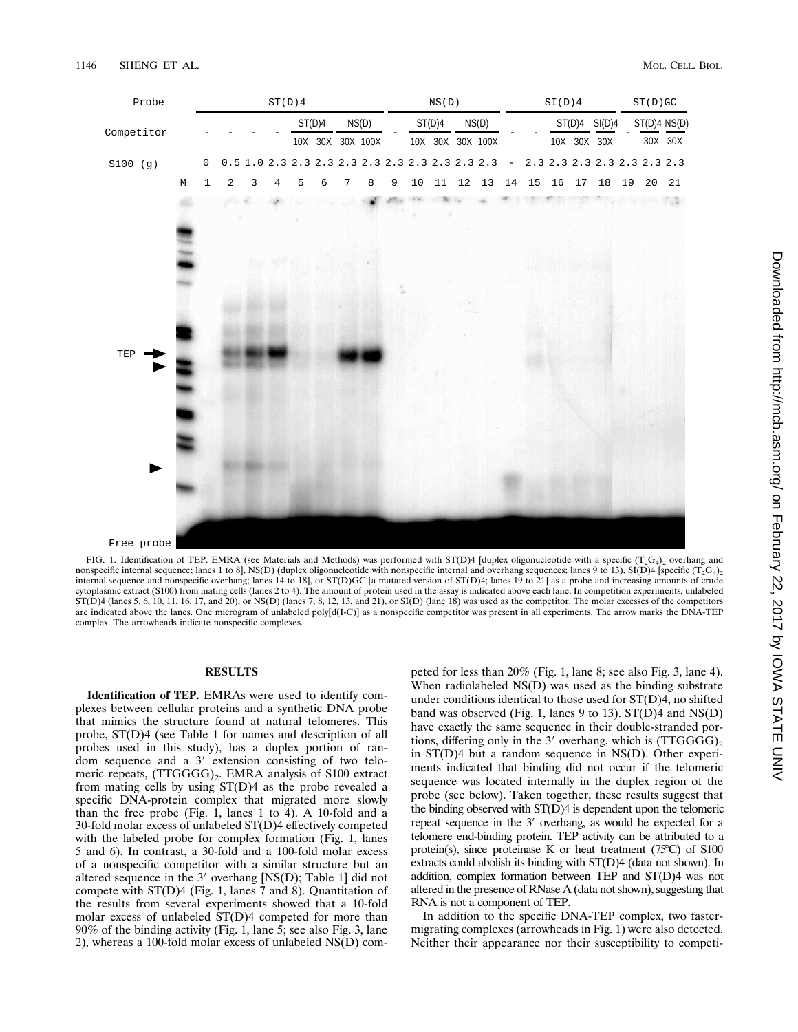

Free probe

FIG. 1. Identification of TEP. EMRA (see Materials and Methods) was performed with ST(D)4 [duplex oligonucleotide with a specific (T<sub>2</sub>G<sub>4</sub>)<sub>2</sub> overhang and nonspecific internal sequence; lanes 1 to 8], NS(D) (duplex oligonucleotide with nonspecific internal and overhang sequences; lanes 9 to 13), SI(D)4 [specific (T<sub>2</sub>G<sub>4</sub>)<sub>2</sub> internal sequence and nonspecific overhang; lanes 14 to 18], or ST(D)GC [a mutated version of ST(D)4; lanes 19 to 21] as a probe and increasing amounts of crude cytoplasmic extract (S100) from mating cells (lanes 2 to 4). The amount of protein used in the assay is indicated above each lane. In competition experiments, unlabeled  $ST(D)4$  (lanes 5, 6, 10, 11, 16, 17, and 20), or NS(D) (lanes 7, 8, 12, 13, and 21), or SI(D) (lane 18) was used as the competitor. The molar excesses of the competitors are indicated above the lanes. One microgram of unlabeled poly[d(I-C)] as a nonspecific competitor was present in all experiments. The arrow marks the DNA-TEP complex. The arrowheads indicate nonspecific complexes.

# **RESULTS**

**Identification of TEP.** EMRAs were used to identify complexes between cellular proteins and a synthetic DNA probe that mimics the structure found at natural telomeres. This probe, ST(D)4 (see Table 1 for names and description of all probes used in this study), has a duplex portion of random sequence and a  $3'$  extension consisting of two telomeric repeats, (TTGGGG)<sub>2</sub>. EMRA analysis of S100 extract from mating cells by using ST(D)4 as the probe revealed a specific DNA-protein complex that migrated more slowly than the free probe (Fig. 1, lanes 1 to 4). A 10-fold and a 30-fold molar excess of unlabeled ST(D)4 effectively competed with the labeled probe for complex formation (Fig. 1, lanes 5 and 6). In contrast, a 30-fold and a 100-fold molar excess of a nonspecific competitor with a similar structure but an altered sequence in the  $3'$  overhang [NS(D); Table 1] did not compete with ST(D)4 (Fig. 1, lanes 7 and 8). Quantitation of the results from several experiments showed that a 10-fold molar excess of unlabeled ST(D)4 competed for more than 90% of the binding activity (Fig. 1, lane 5; see also Fig. 3, lane 2), whereas a 100-fold molar excess of unlabeled NS(D) com-

peted for less than 20% (Fig. 1, lane 8; see also Fig. 3, lane 4). When radiolabeled NS(D) was used as the binding substrate under conditions identical to those used for ST(D)4, no shifted band was observed (Fig. 1, lanes 9 to 13). ST(D)4 and NS(D) have exactly the same sequence in their double-stranded portions, differing only in the 3' overhang, which is  $(TTGGG)_{2}$ in ST(D)4 but a random sequence in NS(D). Other experiments indicated that binding did not occur if the telomeric sequence was located internally in the duplex region of the probe (see below). Taken together, these results suggest that the binding observed with ST(D)4 is dependent upon the telomeric repeat sequence in the 3' overhang, as would be expected for a telomere end-binding protein. TEP activity can be attributed to a protein(s), since proteinase K or heat treatment  $(75^{\circ}C)$  of S100 extracts could abolish its binding with ST(D)4 (data not shown). In addition, complex formation between TEP and ST(D)4 was not altered in the presence of RNase A (data not shown), suggesting that RNA is not a component of TEP.

In addition to the specific DNA-TEP complex, two fastermigrating complexes (arrowheads in Fig. 1) were also detected. Neither their appearance nor their susceptibility to competi-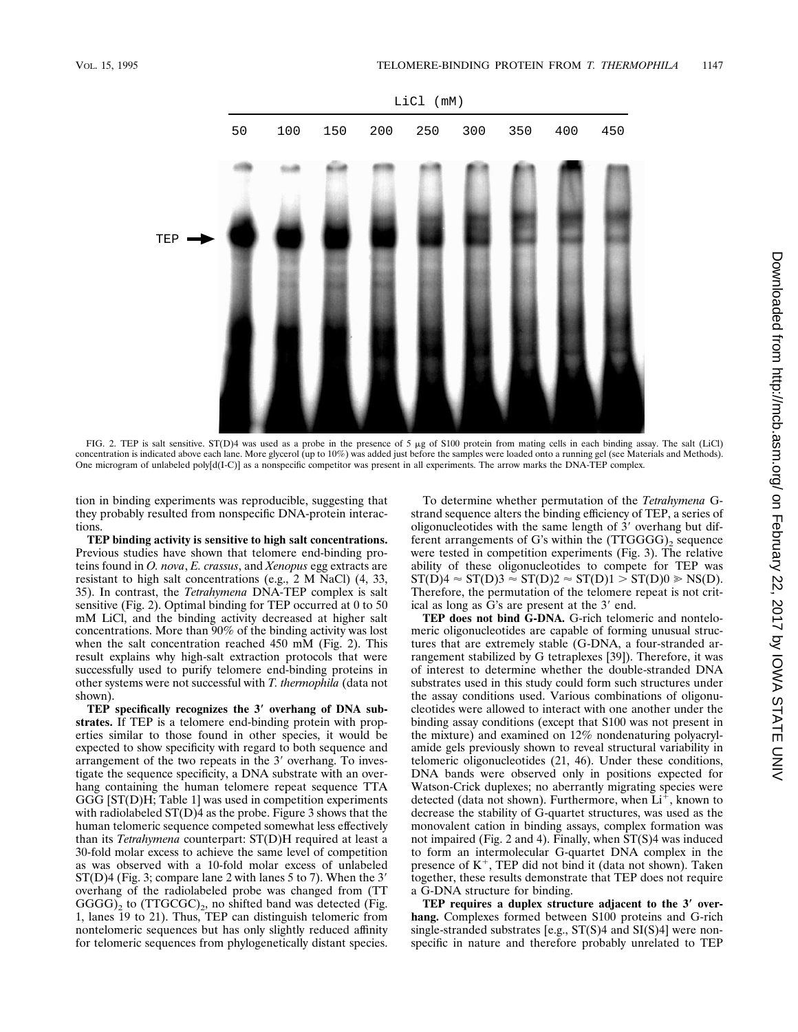

FIG. 2. TEP is salt sensitive. ST(D)4 was used as a probe in the presence of 5  $\mu$ g of S100 protein from mating cells in each binding assay. The salt (LiCl) concentration is indicated above each lane. More glycerol (up to 10%) was added just before the samples were loaded onto a running gel (see Materials and Methods). One microgram of unlabeled poly[d(I-C)] as a nonspecific competitor was present in all experiments. The arrow marks the DNA-TEP complex.

tion in binding experiments was reproducible, suggesting that they probably resulted from nonspecific DNA-protein interactions.

**TEP binding activity is sensitive to high salt concentrations.** Previous studies have shown that telomere end-binding proteins found in *O. nova*, *E. crassus*, and *Xenopus* egg extracts are resistant to high salt concentrations (e.g., 2 M NaCl) (4, 33, 35). In contrast, the *Tetrahymena* DNA-TEP complex is salt sensitive (Fig. 2). Optimal binding for TEP occurred at 0 to 50 mM LiCl, and the binding activity decreased at higher salt concentrations. More than 90% of the binding activity was lost when the salt concentration reached 450 mM (Fig. 2). This result explains why high-salt extraction protocols that were successfully used to purify telomere end-binding proteins in other systems were not successful with *T. thermophila* (data not shown).

**TEP specifically recognizes the 3**\* **overhang of DNA substrates.** If TEP is a telomere end-binding protein with properties similar to those found in other species, it would be expected to show specificity with regard to both sequence and arrangement of the two repeats in the 3' overhang. To investigate the sequence specificity, a DNA substrate with an overhang containing the human telomere repeat sequence TTA GGG [ST(D)H; Table 1] was used in competition experiments with radiolabeled  $ST(D)$ 4 as the probe. Figure 3 shows that the human telomeric sequence competed somewhat less effectively than its *Tetrahymena* counterpart: ST(D)H required at least a 30-fold molar excess to achieve the same level of competition as was observed with a 10-fold molar excess of unlabeled  $ST(D)$ 4 (Fig. 3; compare lane 2 with lanes 5 to 7). When the 3' overhang of the radiolabeled probe was changed from (TT  $GGGG$ )<sub>2</sub> to (TTGCGC)<sub>2</sub>, no shifted band was detected (Fig. 1, lanes 19 to 21). Thus, TEP can distinguish telomeric from nontelomeric sequences but has only slightly reduced affinity for telomeric sequences from phylogenetically distant species.

To determine whether permutation of the *Tetrahymena* Gstrand sequence alters the binding efficiency of TEP, a series of oligonucleotides with the same length of  $3'$  overhang but different arrangements of G's within the  $(TTGGG)$ , sequence were tested in competition experiments (Fig. 3). The relative ability of these oligonucleotides to compete for TEP was  $ST(D)4 \approx ST(D)3 \approx ST(D)2 \approx ST(D)1 > ST(D)0 \ge NS(D).$ Therefore, the permutation of the telomere repeat is not critical as long as G's are present at the  $3'$  end.

**TEP does not bind G-DNA.** G-rich telomeric and nontelomeric oligonucleotides are capable of forming unusual structures that are extremely stable (G-DNA, a four-stranded arrangement stabilized by G tetraplexes [39]). Therefore, it was of interest to determine whether the double-stranded DNA substrates used in this study could form such structures under the assay conditions used. Various combinations of oligonucleotides were allowed to interact with one another under the binding assay conditions (except that S100 was not present in the mixture) and examined on 12% nondenaturing polyacrylamide gels previously shown to reveal structural variability in telomeric oligonucleotides (21, 46). Under these conditions, DNA bands were observed only in positions expected for Watson-Crick duplexes; no aberrantly migrating species were detected (data not shown). Furthermore, when  $Li^+$ , known to decrease the stability of G-quartet structures, was used as the monovalent cation in binding assays, complex formation was not impaired (Fig. 2 and 4). Finally, when ST(S)4 was induced to form an intermolecular G-quartet DNA complex in the presence of  $K^+$ , TEP did not bind it (data not shown). Taken together, these results demonstrate that TEP does not require a G-DNA structure for binding.

**TEP requires a duplex structure adjacent to the 3**\* **overhang.** Complexes formed between S100 proteins and G-rich single-stranded substrates [e.g., ST(S)4 and SI(S)4] were nonspecific in nature and therefore probably unrelated to TEP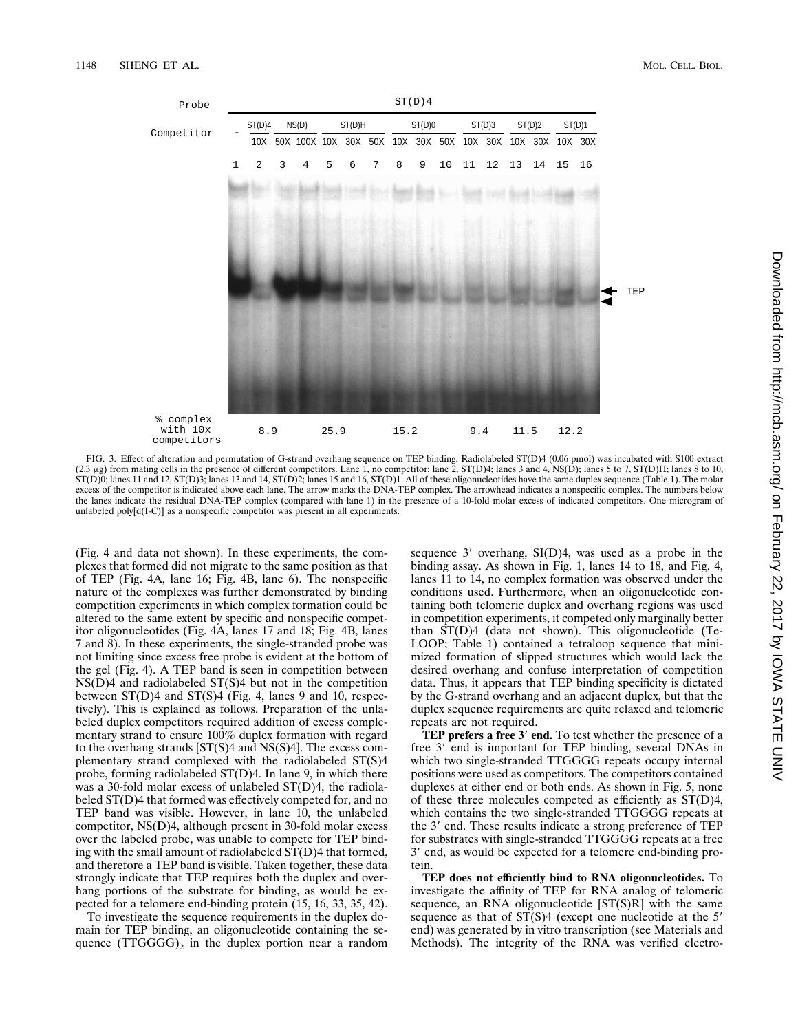

FIG. 3. Effect of alteration and permutation of G-strand overhang sequence on TEP binding. Radiolabeled ST(D)4 (0.06 pmol) was incubated with S100 extract (2.3 µg) from mating cells in the presence of different competitors  $ST(D)$ 0; lanes 11 and 12,  $ST(D)3$ ; lanes 13 and 14,  $ST(D)2$ ; lanes 15 and 16,  $ST(D)1$ . All of these oligonucleotides have the same duplex sequence (Table 1). The molar excess of the competitor is indicated above each lane. The arrow marks the DNA-TEP complex. The arrowhead indicates a nonspecific complex. The numbers below the lanes indicate the residual DNA-TEP complex (compared with lane 1) in the presence of a 10-fold molar excess of indicated competitors. One microgram of unlabeled poly[d(I-C)] as a nonspecific competitor was present in all experiments.

(Fig. 4 and data not shown). In these experiments, the complexes that formed did not migrate to the same position as that of TEP (Fig. 4A, lane 16; Fig. 4B, lane 6). The nonspecific nature of the complexes was further demonstrated by binding competition experiments in which complex formation could be altered to the same extent by specific and nonspecific competitor oligonucleotides (Fig. 4A, lanes 17 and 18; Fig. 4B, lanes 7 and 8). In these experiments, the single-stranded probe was not limiting since excess free probe is evident at the bottom of the gel (Fig. 4). A TEP band is seen in competition between  $NS(D)4$  and radiolabeled  $ST(S)4$  but not in the competition between  $ST(D)$ 4 and  $ST(S)$ 4 (Fig. 4, lanes 9 and 10, respectively). This is explained as follows. Preparation of the unlabeled duplex competitors required addition of excess complementary strand to ensure 100% duplex formation with regard to the overhang strands  $ST(S)4$  and  $NS(S)4$ . The excess complementary strand complexed with the radiolabeled ST(S)4 probe, forming radiolabeled ST(D)4. In lane 9, in which there was a 30-fold molar excess of unlabeled ST(D)4, the radiolabeled ST(D)4 that formed was effectively competed for, and no TEP band was visible. However, in lane 10, the unlabeled competitor, NS(D)4, although present in 30-fold molar excess over the labeled probe, was unable to compete for TEP binding with the small amount of radiolabeled ST(D)4 that formed, and therefore a TEP band is visible. Taken together, these data strongly indicate that TEP requires both the duplex and overhang portions of the substrate for binding, as would be expected for a telomere end-binding protein (15, 16, 33, 35, 42).

To investigate the sequence requirements in the duplex domain for TEP binding, an oligonucleotide containing the sequence  $(TTGGG)_2$  in the duplex portion near a random sequence  $3'$  overhang,  $SI(D)4$ , was used as a probe in the binding assay. As shown in Fig. 1, lanes 14 to 18, and Fig. 4, lanes 11 to 14, no complex formation was observed under the conditions used. Furthermore, when an oligonucleotide containing both telomeric duplex and overhang regions was used in competition experiments, it competed only marginally better than ST(D)4 (data not shown). This oligonucleotide (Te-LOOP; Table 1) contained a tetraloop sequence that minimized formation of slipped structures which would lack the desired overhang and confuse interpretation of competition data. Thus, it appears that TEP binding specificity is dictated by the G-strand overhang and an adjacent duplex, but that the duplex sequence requirements are quite relaxed and telomeric repeats are not required.

**TEP prefers a free 3**\* **end.** To test whether the presence of a free 3' end is important for TEP binding, several DNAs in which two single-stranded TTGGGG repeats occupy internal positions were used as competitors. The competitors contained duplexes at either end or both ends. As shown in Fig. 5, none of these three molecules competed as efficiently as ST(D)4, which contains the two single-stranded TTGGGG repeats at the 3' end. These results indicate a strong preference of TEP for substrates with single-stranded TTGGGG repeats at a free 3' end, as would be expected for a telomere end-binding protein.

**TEP does not efficiently bind to RNA oligonucleotides.** To investigate the affinity of TEP for RNA analog of telomeric sequence, an RNA oligonucleotide [ST(S)R] with the same sequence as that of  $ST(S)4$  (except one nucleotide at the 5' end) was generated by in vitro transcription (see Materials and Methods). The integrity of the RNA was verified electro-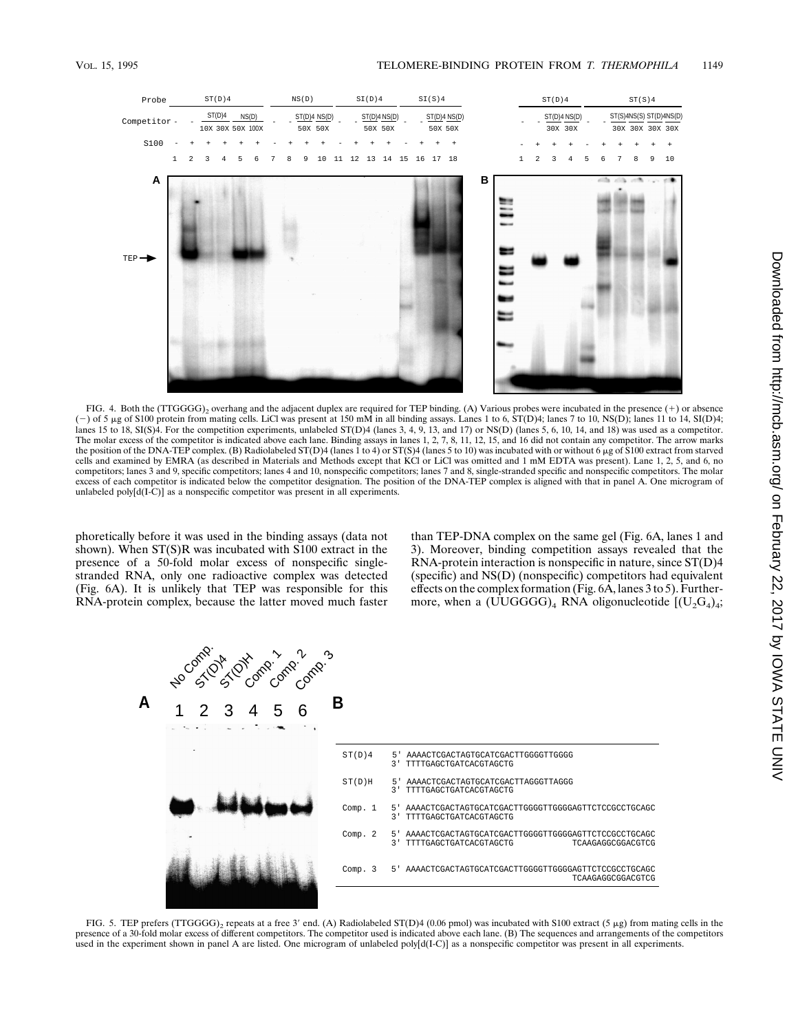

FIG. 4. Both the (TTGGGG)<sub>2</sub> overhang and the adjacent duplex are required for TEP binding. (A) Various probes were incubated in the presence (+) or absence  $(-)$  of 5 µg of S100 protein from mating cells. LiCl was present at 150 mM in all binding assays. Lanes 1 to 6, ST(D)4; lanes 7 to 10, NS(D); lanes 11 to 14, SI(D)4; lanes 15 to 18, SI(S)4. For the competition experiments, unlabeled ST(D)4 (lanes 3, 4, 9, 13, and 17) or NS(D) (lanes 5, 6, 10, 14, and 18) was used as a competitor. The molar excess of the competitor is indicated above each lane. Binding assays in lanes 1, 2, 7, 8, 11, 12, 15, and 16 did not contain any competitor. The arrow marks the position of the DNA-TEP complex. (B) Radiolabeled ST(D)4 (lanes 1 to 4) or ST(S)4 (lanes 5 to 10) was incubated with or without 6 µg of S100 extract from starved cells and examined by EMRA (as described in Materials and Methods except that KCl or LiCl was omitted and 1 mM EDTA was present). Lane 1, 2, 5, and 6, no competitors; lanes 3 and 9, specific competitors; lanes 4 and 10, nonspecific competitors; lanes 7 and 8, single-stranded specific and nonspecific competitors. The molar excess of each competitor is indicated below the competitor designation. The position of the DNA-TEP complex is aligned with that in panel A. One microgram of unlabeled poly $[d(I-C)]$  as a nonspecific competitor was present in all experiments.

phoretically before it was used in the binding assays (data not shown). When ST(S)R was incubated with S100 extract in the presence of a 50-fold molar excess of nonspecific singlestranded RNA, only one radioactive complex was detected (Fig. 6A). It is unlikely that TEP was responsible for this RNA-protein complex, because the latter moved much faster

than TEP-DNA complex on the same gel (Fig. 6A, lanes 1 and 3). Moreover, binding competition assays revealed that the RNA-protein interaction is nonspecific in nature, since ST(D)4 (specific) and NS(D) (nonspecific) competitors had equivalent effects on the complex formation (Fig. 6A, lanes 3 to 5). Furthermore, when a  $(\overline{U} \cup GGG)_{4}$  RNA oligonucleotide  $[(U_{2}G_{4})_{4};$ 



FIG. 5. TEP prefers (TTGGGG)<sub>2</sub> repeats at a free 3' end. (A) Radiolabeled ST(D)4 (0.06 pmol) was incubated with S100 extract (5 µg) from mating cells in the presence of a 30-fold molar excess of different competitors. The competitor used is indicated above each lane. (B) The sequences and arrangements of the competitors used in the experiment shown in panel A are listed. One microgram of unlabeled poly[d(I-C)] as a nonspecific competitor was present in all experiments.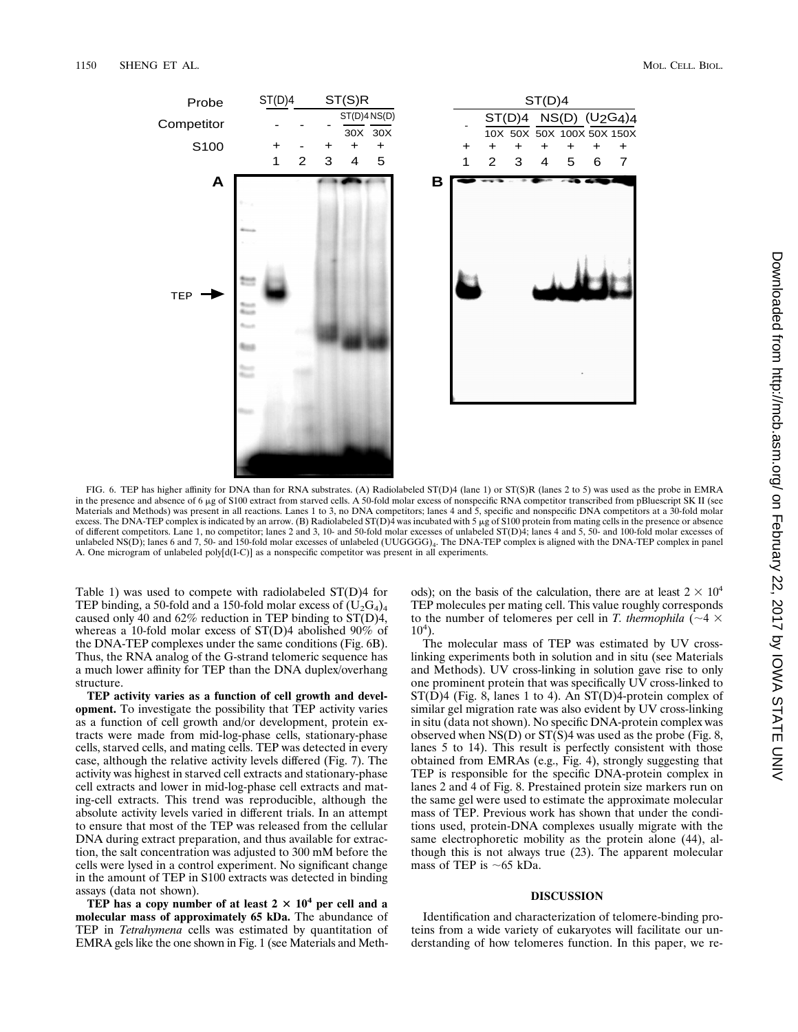

FIG. 6. TEP has higher affinity for DNA than for RNA substrates. (A) Radiolabeled ST(D)4 (lane 1) or ST(S)R (lanes 2 to 5) was used as the probe in EMRA in the presence and absence of 6 µg of S100 extract from starved cells. A 50-fold molar excess of nonspecific RNA competitor transcribed from pBluescript SK II (see Materials and Methods) was present in all reactions. Lanes 1 to 3, no DNA competitors; lanes 4 and 5, specific and nonspecific DNA competitors at a 30-fold molar excess. The DNA-TEP complex is indicated by an arrow. (B) Radiolabeled ST(D)4 was incubated with 5 µg of S100 protein from mating cells in the presence or absence of different competitors. Lane 1, no competitor; lanes 2 and 3, 10- and 50-fold molar excesses of unlabeled ST(D)4; lanes 4 and 5, 50- and 100-fold molar excesses of unlabeled NS(D); lanes 6 and 7, 50- and 150-fold molar excesses of unlabeled (UUGGGG)<sub>4</sub>. The DNA-TEP complex is aligned with the DNA-TEP complex in panel A. One microgram of unlabeled poly[d(I-C)] as a nonspecific competitor was present in all experiments.

Table 1) was used to compete with radiolabeled ST(D)4 for TEP binding, a 50-fold and a 150-fold molar excess of  $(U_2G_4)_4$ caused only 40 and 62% reduction in TEP binding to ST(D)4, whereas a 10-fold molar excess of  $ST(D)$ 4 abolished 90% of the DNA-TEP complexes under the same conditions (Fig. 6B). Thus, the RNA analog of the G-strand telomeric sequence has a much lower affinity for TEP than the DNA duplex/overhang structure.

**TEP activity varies as a function of cell growth and development.** To investigate the possibility that TEP activity varies as a function of cell growth and/or development, protein extracts were made from mid-log-phase cells, stationary-phase cells, starved cells, and mating cells. TEP was detected in every case, although the relative activity levels differed (Fig. 7). The activity was highest in starved cell extracts and stationary-phase cell extracts and lower in mid-log-phase cell extracts and mating-cell extracts. This trend was reproducible, although the absolute activity levels varied in different trials. In an attempt to ensure that most of the TEP was released from the cellular DNA during extract preparation, and thus available for extraction, the salt concentration was adjusted to 300 mM before the cells were lysed in a control experiment. No significant change in the amount of TEP in S100 extracts was detected in binding assays (data not shown).

**TEP** has a copy number of at least  $2 \times 10^4$  per cell and a **molecular mass of approximately 65 kDa.** The abundance of TEP in *Tetrahymena* cells was estimated by quantitation of EMRA gels like the one shown in Fig. 1 (see Materials and Methods); on the basis of the calculation, there are at least  $2 \times 10^4$ TEP molecules per mating cell. This value roughly corresponds to the number of telomeres per cell in *T. thermophila* ( $\sim$ 4  $\times$  $10<sup>4</sup>$ ).

The molecular mass of TEP was estimated by UV crosslinking experiments both in solution and in situ (see Materials and Methods). UV cross-linking in solution gave rise to only one prominent protein that was specifically UV cross-linked to ST(D)4 (Fig. 8, lanes 1 to 4). An ST(D)4-protein complex of similar gel migration rate was also evident by UV cross-linking in situ (data not shown). No specific DNA-protein complex was observed when NS(D) or ST(S)4 was used as the probe (Fig. 8, lanes 5 to 14). This result is perfectly consistent with those obtained from EMRAs (e.g., Fig. 4), strongly suggesting that TEP is responsible for the specific DNA-protein complex in lanes 2 and 4 of Fig. 8. Prestained protein size markers run on the same gel were used to estimate the approximate molecular mass of TEP. Previous work has shown that under the conditions used, protein-DNA complexes usually migrate with the same electrophoretic mobility as the protein alone (44), although this is not always true (23). The apparent molecular mass of TEP is  $\sim$  65 kDa.

## **DISCUSSION**

Identification and characterization of telomere-binding proteins from a wide variety of eukaryotes will facilitate our understanding of how telomeres function. In this paper, we re-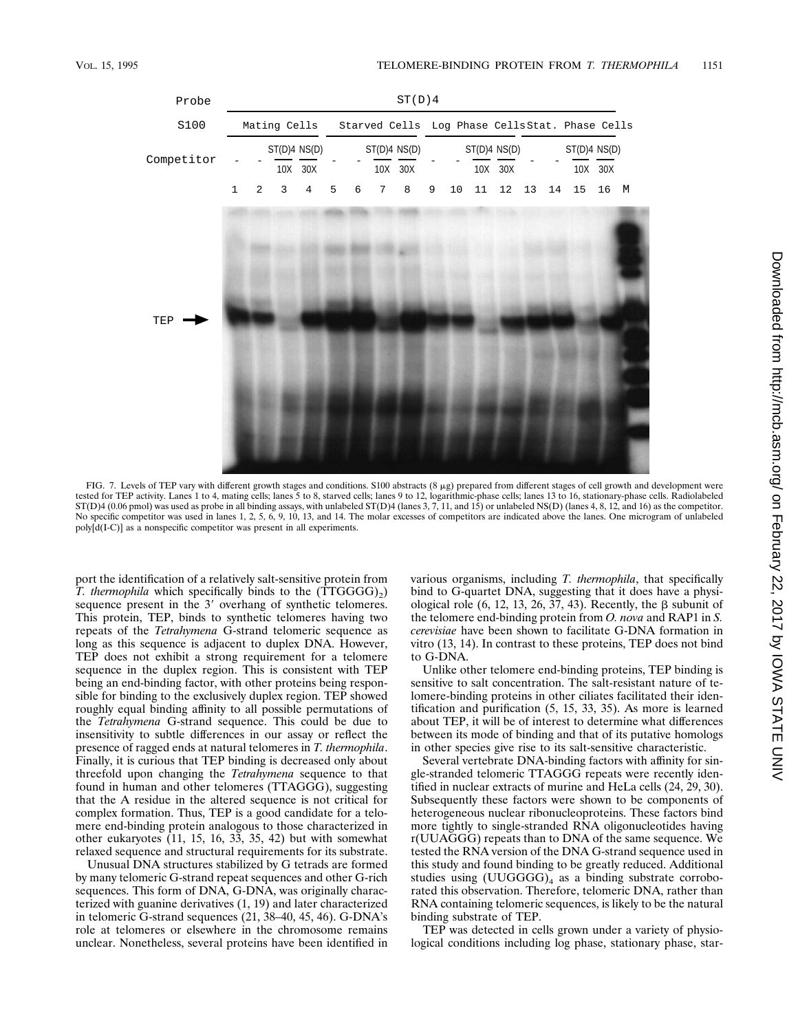

FIG. 7. Levels of TEP vary with different growth stages and conditions. S100 abstracts (8 µg) prepared from different stages of cell growth and development were tested for TEP activity. Lanes 1 to 4, mating cells; lanes 5 to 8, starved cells; lanes 9 to 12, logarithmic-phase cells; lanes 13 to 16, stationary-phase cells. Radiolabeled<br>ST(D)4 (0.06 pmol) was used as probe in all bin No specific competitor was used in lanes 1, 2, 5, 6, 9, 10, 13, and 14. The molar excesses of competitors are indicated above the lanes. One microgram of unlabeled poly[d(I-C)] as a nonspecific competitor was present in all experiments.

port the identification of a relatively salt-sensitive protein from *T. thermophila* which specifically binds to the  $(TTGGG)_{2}$ sequence present in the  $3'$  overhang of synthetic telomeres. This protein, TEP, binds to synthetic telomeres having two repeats of the *Tetrahymena* G-strand telomeric sequence as long as this sequence is adjacent to duplex DNA. However, TEP does not exhibit a strong requirement for a telomere sequence in the duplex region. This is consistent with TEP being an end-binding factor, with other proteins being responsible for binding to the exclusively duplex region. TEP showed roughly equal binding affinity to all possible permutations of the *Tetrahymena* G-strand sequence. This could be due to insensitivity to subtle differences in our assay or reflect the presence of ragged ends at natural telomeres in *T. thermophila*. Finally, it is curious that TEP binding is decreased only about threefold upon changing the *Tetrahymena* sequence to that found in human and other telomeres (TTAGGG), suggesting that the A residue in the altered sequence is not critical for complex formation. Thus, TEP is a good candidate for a telomere end-binding protein analogous to those characterized in other eukaryotes (11, 15, 16, 33, 35, 42) but with somewhat relaxed sequence and structural requirements for its substrate.

Unusual DNA structures stabilized by G tetrads are formed by many telomeric G-strand repeat sequences and other G-rich sequences. This form of DNA, G-DNA, was originally characterized with guanine derivatives (1, 19) and later characterized in telomeric G-strand sequences (21, 38–40, 45, 46). G-DNA's role at telomeres or elsewhere in the chromosome remains unclear. Nonetheless, several proteins have been identified in various organisms, including *T. thermophila*, that specifically bind to G-quartet DNA, suggesting that it does have a physiological role  $(6, 12, 13, 26, 37, 43)$ . Recently, the  $\beta$  subunit of the telomere end-binding protein from *O. nova* and RAP1 in *S. cerevisiae* have been shown to facilitate G-DNA formation in vitro (13, 14). In contrast to these proteins, TEP does not bind to G-DNA.

Unlike other telomere end-binding proteins, TEP binding is sensitive to salt concentration. The salt-resistant nature of telomere-binding proteins in other ciliates facilitated their identification and purification (5, 15, 33, 35). As more is learned about TEP, it will be of interest to determine what differences between its mode of binding and that of its putative homologs in other species give rise to its salt-sensitive characteristic.

Several vertebrate DNA-binding factors with affinity for single-stranded telomeric TTAGGG repeats were recently identified in nuclear extracts of murine and HeLa cells (24, 29, 30). Subsequently these factors were shown to be components of heterogeneous nuclear ribonucleoproteins. These factors bind more tightly to single-stranded RNA oligonucleotides having r(UUAGGG) repeats than to DNA of the same sequence. We tested the RNA version of the DNA G-strand sequence used in this study and found binding to be greatly reduced. Additional studies using  $(UUGGG)_{4}$  as a binding substrate corroborated this observation. Therefore, telomeric DNA, rather than RNA containing telomeric sequences, is likely to be the natural binding substrate of TEP.

TEP was detected in cells grown under a variety of physiological conditions including log phase, stationary phase, star-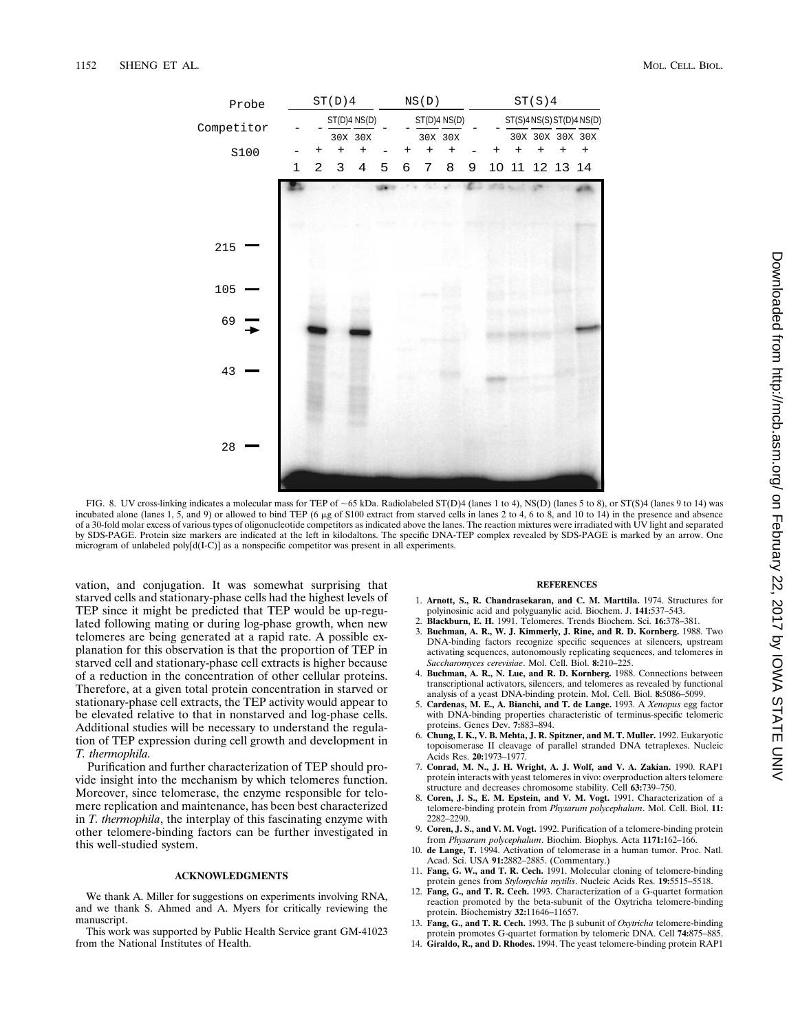

FIG. 8. UV cross-linking indicates a molecular mass for TEP of ~65 kDa. Radiolabeled ST(D)4 (lanes 1 to 4), NS(D) (lanes 5 to 8), or ST(S)4 (lanes 9 to 14) was incubated alone (lanes 1, 5, and 9) or allowed to bind TEP (6  $\mu$ g of S100 extract from starved cells in lanes 2 to 4, 6 to 8, and 10 to 14) in the presence and absence of a 30-fold molar excess of various types of oligonucleotide competitors as indicated above the lanes. The reaction mixtures were irradiated with UV light and separated by SDS-PAGE. Protein size markers are indicated at the left in kilodaltons. The specific DNA-TEP complex revealed by SDS-PAGE is marked by an arrow. One microgram of unlabeled poly[d(I-C)] as a nonspecific competitor was present in all experiments.

vation, and conjugation. It was somewhat surprising that starved cells and stationary-phase cells had the highest levels of TEP since it might be predicted that TEP would be up-regulated following mating or during log-phase growth, when new telomeres are being generated at a rapid rate. A possible explanation for this observation is that the proportion of TEP in starved cell and stationary-phase cell extracts is higher because of a reduction in the concentration of other cellular proteins. Therefore, at a given total protein concentration in starved or stationary-phase cell extracts, the TEP activity would appear to be elevated relative to that in nonstarved and log-phase cells. Additional studies will be necessary to understand the regulation of TEP expression during cell growth and development in *T. thermophila.*

Purification and further characterization of TEP should provide insight into the mechanism by which telomeres function. Moreover, since telomerase, the enzyme responsible for telomere replication and maintenance, has been best characterized in *T. thermophila*, the interplay of this fascinating enzyme with other telomere-binding factors can be further investigated in this well-studied system.

### **ACKNOWLEDGMENTS**

We thank A. Miller for suggestions on experiments involving RNA, and we thank S. Ahmed and A. Myers for critically reviewing the manuscript.

This work was supported by Public Health Service grant GM-41023 from the National Institutes of Health.

#### **REFERENCES**

- 1. **Arnott, S., R. Chandrasekaran, and C. M. Marttila.** 1974. Structures for polyinosinic acid and polyguanylic acid. Biochem. J. **141:**537–543.
- 2. **Blackburn, E. H.** 1991. Telomeres. Trends Biochem. Sci. **16:**378–381.
- 3. **Buchman, A. R., W. J. Kimmerly, J. Rine, and R. D. Kornberg.** 1988. Two DNA-binding factors recognize specific sequences at silencers, upstream activating sequences, autonomously replicating sequences, and telomeres in *Saccharomyces cerevisiae*. Mol. Cell. Biol. **8:**210–225.
- 4. **Buchman, A. R., N. Lue, and R. D. Kornberg.** 1988. Connections between transcriptional activators, silencers, and telomeres as revealed by functional analysis of a yeast DNA-binding protein. Mol. Cell. Biol. **8:**5086–5099.
- 5. **Cardenas, M. E., A. Bianchi, and T. de Lange.** 1993. A *Xenopus* egg factor with DNA-binding properties characteristic of terminus-specific telomeric proteins. Genes Dev. **7:**883–894.
- 6. **Chung, I. K., V. B. Mehta, J. R. Spitzner, and M. T. Muller.** 1992. Eukaryotic topoisomerase II cleavage of parallel stranded DNA tetraplexes. Nucleic Acids Res. **20:**1973–1977.
- 7. **Conrad, M. N., J. H. Wright, A. J. Wolf, and V. A. Zakian.** 1990. RAP1 protein interacts with yeast telomeres in vivo: overproduction alters telomere structure and decreases chromosome stability. Cell **63:**739–750.
- 8. **Coren, J. S., E. M. Epstein, and V. M. Vogt.** 1991. Characterization of a telomere-binding protein from *Physarum polycephalum*. Mol. Cell. Biol. **11:** 2282–2290.
- 9. **Coren, J. S., and V. M. Vogt.** 1992. Purification of a telomere-binding protein from *Physarum polycephalum*. Biochim. Biophys. Acta **1171:**162–166.
- 10. **de Lange, T.** 1994. Activation of telomerase in a human tumor. Proc. Natl. Acad. Sci. USA **91:**2882–2885. (Commentary.)
- 11. **Fang, G. W., and T. R. Cech.** 1991. Molecular cloning of telomere-binding protein genes from *Stylonychia mytilis*. Nucleic Acids Res. **19:**5515–5518.
- 12. **Fang, G., and T. R. Cech.** 1993. Characterization of a G-quartet formation reaction promoted by the beta-subunit of the Oxytricha telomere-binding protein. Biochemistry **32:**11646–11657.
- 13. **Fang, G., and T. R. Cech.** 1993. The β subunit of *Oxytricha* telomere-binding protein promotes G-quartet formation by telomeric DNA. Cell **74:**875–885.
- 14. **Giraldo, R., and D. Rhodes.** 1994. The yeast telomere-binding protein RAP1